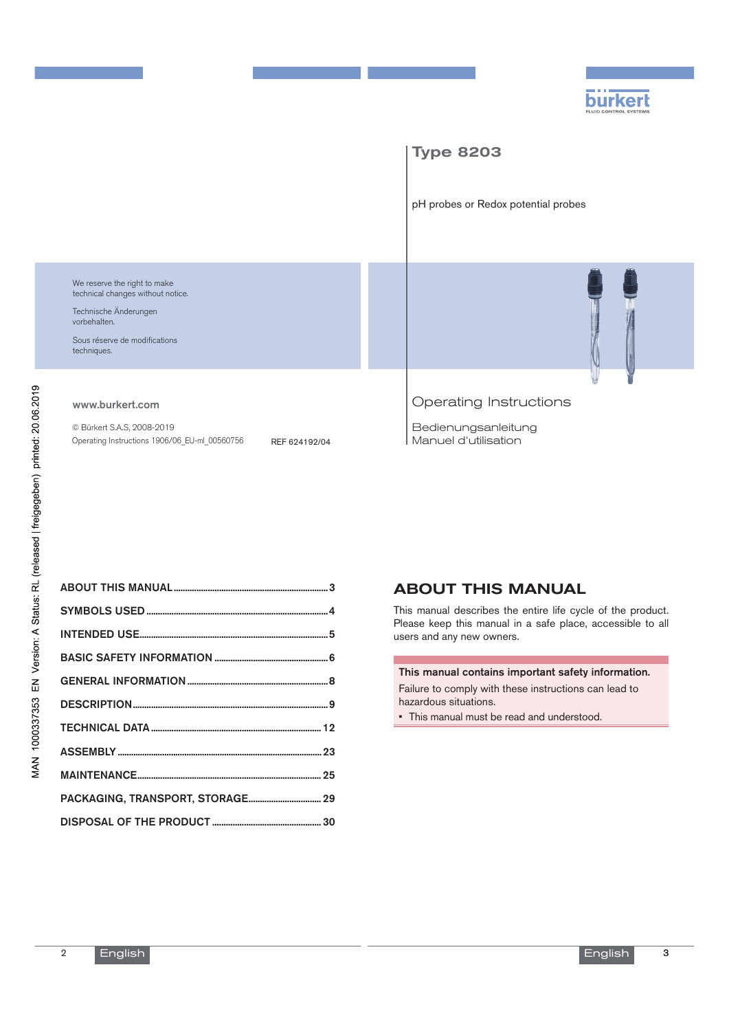



# About this manual

This manual describes the entire life cycle of the product. Please keep this manual in a safe place, accessible to all users and any new owners.

#### This manual contains important safety information.

Failure to comply with these instructions can lead to hazardous situations.

• This manual must be read and understood.

3

2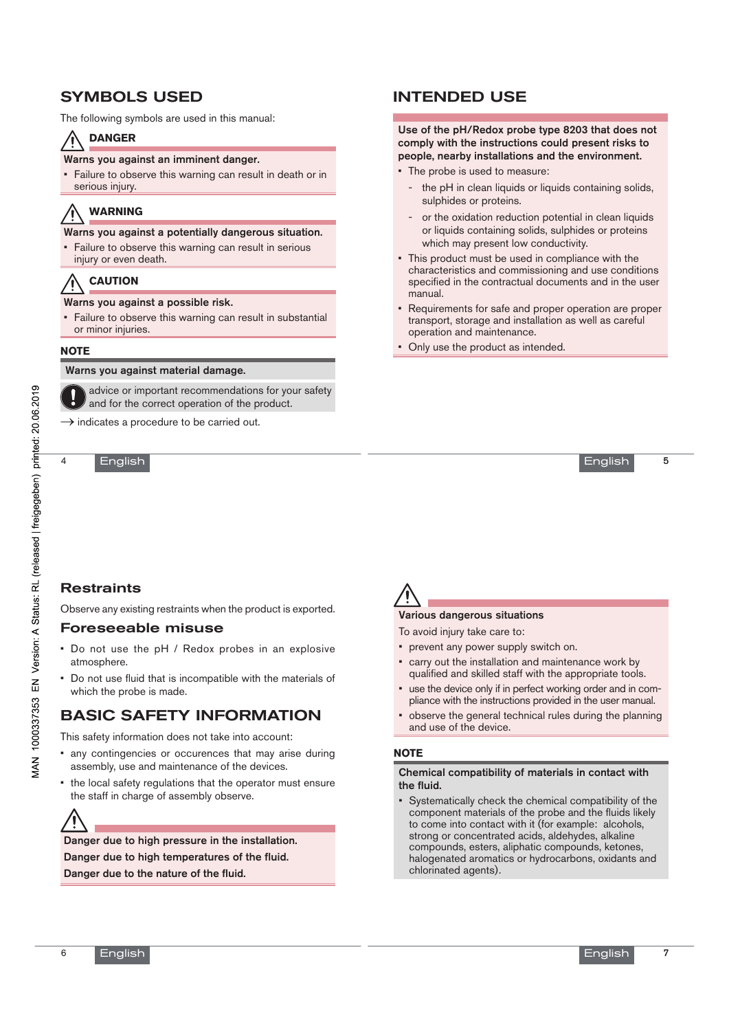# Symbols used

The following symbols are used in this manual:

# **DANGER**

#### Warns you against an imminent danger.

• Failure to observe this warning can result in death or in serious injury.

# **Warning**

Warns you against a potentially dangerous situation.

Failure to observe this warning can result in serious injury or even death.

# **CAUTION**

#### Warns you against a possible risk.

• Failure to observe this warning can result in substantial or minor injuries.

#### **Note**

#### Warns you against material damage.

advice or important recommendations for your safety and for the correct operation of the product.

 $\rightarrow$  indicates a procedure to be carried out.

English

# Intended use

#### Use of the pH/Redox probe type 8203 that does not comply with the instructions could present risks to people, nearby installations and the environment.

- The probe is used to measure:
	- the pH in clean liquids or liquids containing solids, sulphides or proteins.
	- or the oxidation reduction potential in clean liquids or liquids containing solids, sulphides or proteins which may present low conductivity.
- This product must be used in compliance with the characteristics and commissioning and use conditions specified in the contractual documents and in the user manual.
- Requirements for safe and proper operation are proper transport, storage and installation as well as careful operation and maintenance.
- Only use the product as intended.

5

MAN 1000337353 EN Version: A Status: RL (released | freigegeben) printed: 20.06.2019

4

# **Restraints**

Observe any existing restraints when the product is exported.

# Foreseeable misuse

- Do not use the pH / Redox probes in an explosive atmosphere.
- Do not use fluid that is incompatible with the materials of which the probe is made.

# Basic safety information

This safety information does not take into account:

- any contingencies or occurences that may arise during assembly, use and maintenance of the devices.
- the local safety regulations that the operator must ensure the staff in charge of assembly observe.

Danger due to high pressure in the installation. Danger due to high temperatures of the fluid. Danger due to the nature of the fluid.



### Various dangerous situations

To avoid injury take care to:

- prevent any power supply switch on.
- carry out the installation and maintenance work by qualified and skilled staff with the appropriate tools.
- use the device only if in perfect working order and in compliance with the instructions provided in the user manual.
- observe the general technical rules during the planning and use of the device.

### **Note**

#### Chemical compatibility of materials in contact with the fluid.

• Systematically check the chemical compatibility of the component materials of the probe and the fluids likely to come into contact with it (for example: alcohols, strong or concentrated acids, aldehydes, alkaline compounds, esters, aliphatic compounds, ketones, halogenated aromatics or hydrocarbons, oxidants and chlorinated agents).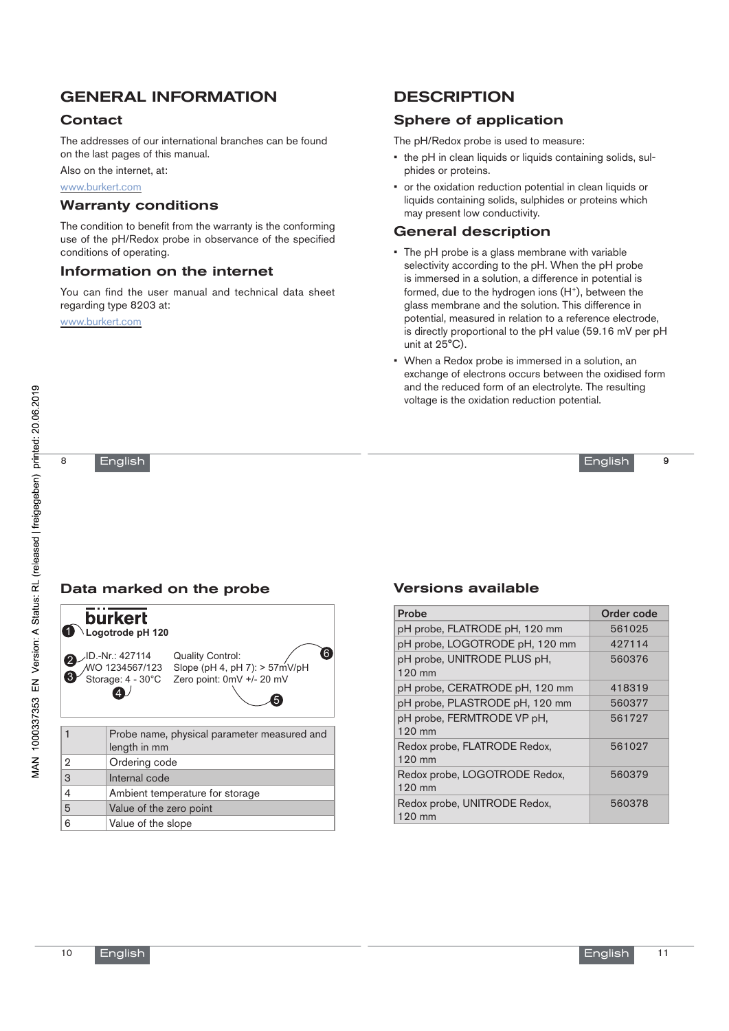# general information

# **Contact**

The addresses of our international branches can be found on the last pages of this manual.

Also on the internet, at:

www.burkert.com

### Warranty conditions

The condition to benefit from the warranty is the conforming use of the pH/Redox probe in observance of the specified conditions of operating.

# Information on the internet

You can find the user manual and technical data sheet regarding type 8203 at:

www.burkert.com

# **DESCRIPTION**

# Sphere of application

The pH/Redox probe is used to measure:

- the pH in clean liquids or liquids containing solids, sulphides or proteins.
- or the oxidation reduction potential in clean liquids or liquids containing solids, sulphides or proteins which may present low conductivity.

## General description

- The pH probe is a glass membrane with variable selectivity according to the pH. When the pH probe is immersed in a solution, a difference in potential is formed, due to the hydrogen ions  $(H<sup>+</sup>)$ , between the glass membrane and the solution. This difference in potential, measured in relation to a reference electrode, is directly proportional to the pH value (59.16 mV per pH unit at 25°C).
- When a Redox probe is immersed in a solution, an exchange of electrons occurs between the oxidised form and the reduced form of an electrolyte. The resulting voltage is the oxidation reduction potential.

English

9

8

# English



# Versions available

| Probe                                            | <b>Order code</b> |
|--------------------------------------------------|-------------------|
| pH probe, FLATRODE pH, 120 mm                    | 561025            |
| pH probe, LOGOTRODE pH, 120 mm                   | 427114            |
| pH probe, UNITRODE PLUS pH,<br>$120 \text{ mm}$  | 560376            |
| pH probe, CERATRODE pH, 120 mm                   | 418319            |
| pH probe, PLASTRODE pH, 120 mm                   | 560377            |
| pH probe, FERMTRODE VP pH,<br>$120$ mm           | 561727            |
| Redox probe, FLATRODE Redox,<br>120 mm           | 561027            |
| Redox probe, LOGOTRODE Redox,<br>120 mm          | 560379            |
| Redox probe, UNITRODE Redox,<br>$120 \text{ mm}$ | 560378            |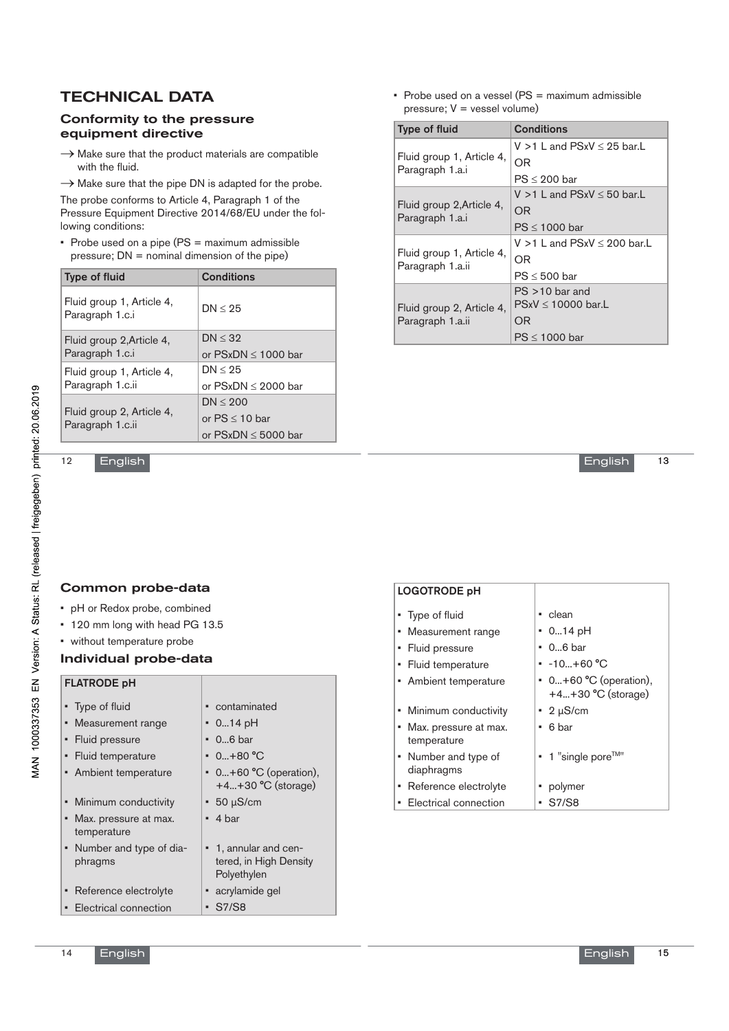# **TECHNICAL DATA**

### Conformity to the pressure equipment directive

- $\rightarrow$  Make sure that the product materials are compatible with the fluid.
- $\rightarrow$  Make sure that the pipe DN is adapted for the probe.

The probe conforms to Article 4, Paragraph 1 of the Pressure Equipment Directive 2014/68/EU under the following conditions:

• Probe used on a pipe (PS = maximum admissible pressure; DN = nominal dimension of the pipe)

| <b>Type of fluid</b>                          | Conditions               |
|-----------------------------------------------|--------------------------|
| Fluid group 1, Article 4,<br>Paragraph 1.c.i  | DN < 25                  |
| Fluid group 2, Article 4,<br>Paragraph 1.c.i  | DN < 32                  |
|                                               | or $PSxDN \leq 1000$ bar |
| Fluid group 1, Article 4,<br>Paragraph 1.c.ii | DN < 25                  |
|                                               | or $PSxDN \leq 2000$ bar |
| Fluid group 2, Article 4,<br>Paragraph 1.c.ii | DN < 200                 |
|                                               | or $PS \leq 10$ bar      |
|                                               | or $PSxDN \le 5000$ bar  |

• Probe used on a vessel (PS = maximum admissible pressure; V = vessel volume)

| <b>Type of fluid</b>                          | <b>Conditions</b>                    |
|-----------------------------------------------|--------------------------------------|
| Fluid group 1, Article 4,<br>Paragraph 1.a.i  | $V > 1$ L and PSxV $\leq$ 25 bar. L  |
|                                               | OR                                   |
|                                               | $PS \leq 200$ bar                    |
| Fluid group 2, Article 4,<br>Paragraph 1.a.i  | V $>$ 1 L and PSxV $\leq$ 50 bar. L  |
|                                               | ΟR                                   |
|                                               | $PS \leq 1000$ bar                   |
| Fluid group 1, Article 4,<br>Paragraph 1.a.ii | $V > 1$ L and PSxV $\leq$ 200 bar. L |
|                                               | OR                                   |
|                                               | $PS \leq 500$ bar                    |
| Fluid group 2, Article 4,<br>Paragraph 1.a.ii | $PS > 10$ bar and                    |
|                                               | $PSxV \leq 10000$ bar.L              |
|                                               | OR                                   |
|                                               | $PS \leq 1000$ bar                   |

**English** 

13

12

# Common probe-data

English

- pH or Redox probe, combined
- 120 mm long with head PG 13.5
- without temperature probe

### Individual probe-data

### FLATRODE pH

| • Type of fluid                      |   | • contaminated                                                 |
|--------------------------------------|---|----------------------------------------------------------------|
| • Measurement range                  |   | $\cdot$ 014 pH                                                 |
| • Fluid pressure                     |   | $\cdot$ 06 bar                                                 |
| • Fluid temperature                  |   | " 0…+80 °C                                                     |
| • Ambient temperature                |   | $\bullet$ 0+60 °C (operation),<br>+4+30 °C (storage)           |
| • Minimum conductivity               |   | $\cdot$ 50 $\mu$ S/cm                                          |
| Max. pressure at max.<br>temperature |   | $-4bar$                                                        |
| • Number and type of dia-<br>phragms |   | • 1, annular and cen-<br>tered, in High Density<br>Polyethylen |
| Reference electrolyte                |   | • acrylamide gel                                               |
| Electrical connection                | ٠ | S7/S8                                                          |

| <b>LOGOTRODE pH</b>                    |                                                        |
|----------------------------------------|--------------------------------------------------------|
| • Type of fluid                        | • clean                                                |
| • Measurement range                    | $\cdot$ 014 pH                                         |
| Fluid pressure<br>٠                    | • 06 bar                                               |
| Fluid temperature<br>٠                 | $-10+60 °C$                                            |
| • Ambient temperature                  | $\bullet$ 0+60 °C (operation),<br>$+4+30$ °C (storage) |
| • Minimum conductivity                 | $\cdot$ 2 µS/cm                                        |
| • Max. pressure at max.<br>temperature | 6 bar<br>٠                                             |
| • Number and type of<br>diaphragms     | $\bullet$ 1 "single pore <sup>TM"</sup>                |
| Reference electrolyte<br>۰.            | • polymer                                              |
| • Electrical connection                | S7/S8<br>٠                                             |

Logo and the photographs of the photographs of the photographs of the photographs of the photographs of the photographs of the photographs of the photographs of the photographs of the photographs of the photographs of the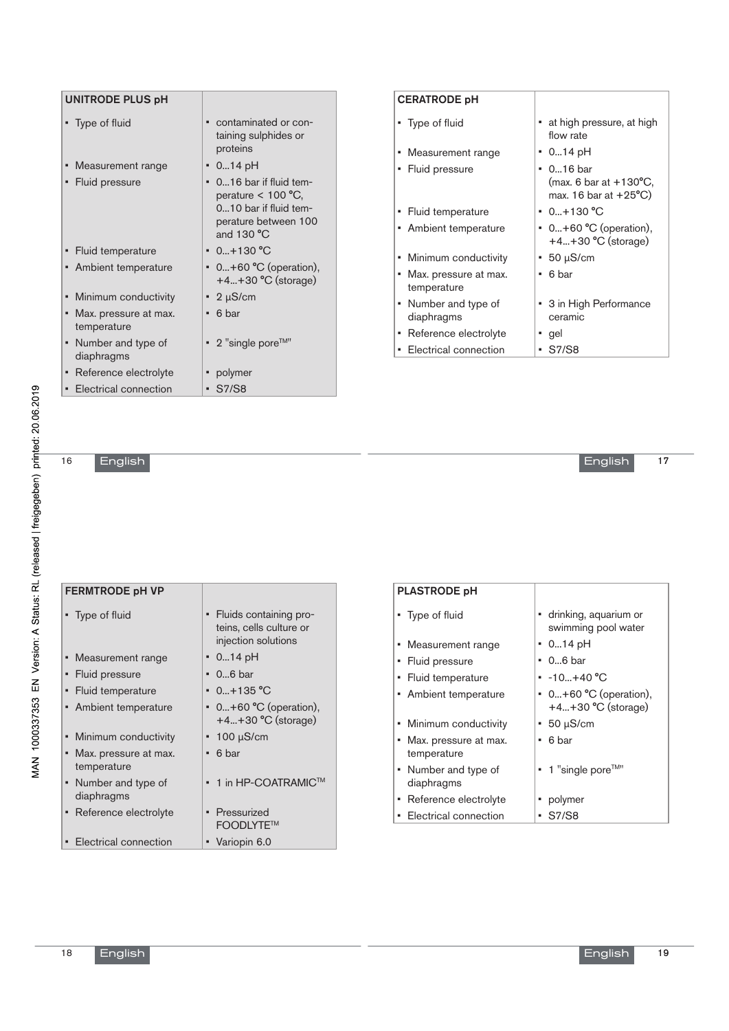| UNITRODE PLUS pH                          |                                                                                                                  |
|-------------------------------------------|------------------------------------------------------------------------------------------------------------------|
| • Type of fluid                           | contaminated or con-<br>٠<br>taining sulphides or<br>proteins                                                    |
| Measurement range<br>٠                    | ▪ 014 pH                                                                                                         |
| Fluid pressure<br>٠                       | • 016 bar if fluid tem-<br>perature $< 100$ °C,<br>010 bar if fluid tem-<br>perature between 100<br>and $130 °C$ |
| Fluid temperature                         | $\cdot$ 0+130 °C                                                                                                 |
| Ambient temperature                       | $0+60$ °C (operation),<br>٠<br>$+4+30$ °C (storage)                                                              |
| Minimum conductivity<br>٠                 | $\cdot$ 2 µS/cm                                                                                                  |
| Max. pressure at max.<br>٠<br>temperature | 6 bar<br>٠                                                                                                       |
| Number and type of<br>٠<br>diaphragms     | $\bullet$ 2 "single pore <sup>TM"</sup>                                                                          |
| Reference electrolyte<br>٠                | polymer                                                                                                          |
| Electrical connection<br>$\blacksquare$   | <b>S7/S8</b><br>$\blacksquare$                                                                                   |

# CERATRODE pH

| • Type of fluid                        | at high pressure, at high<br>flow rate                                                   |
|----------------------------------------|------------------------------------------------------------------------------------------|
| • Measurement range                    | $-014$ pH                                                                                |
| • Fluid pressure                       | $\bullet$ 016 bar<br>(max. 6 bar at $+130^{\circ}$ C,<br>max. 16 bar at $+25^{\circ}$ C) |
| • Fluid temperature                    | $\cdot$ 0+130 °C                                                                         |
| • Ambient temperature                  | $\bullet$ 0+60 °C (operation),<br>$+4+30$ °C (storage)                                   |
| • Minimum conductivity                 | $\cdot$ 50 $\mu$ S/cm                                                                    |
| • Max. pressure at max.<br>temperature | - 6 bar<br>٠                                                                             |
| • Number and type of<br>diaphragms     | • 3 in High Performance<br>ceramic                                                       |
| • Reference electrolyte                | • gel                                                                                    |
| • Electrical connection                | • S7/S8                                                                                  |

English

16

| <b>FERMTRODE pH VP</b>                 |                                                                               |
|----------------------------------------|-------------------------------------------------------------------------------|
| • Type of fluid                        | Fluids containing pro-<br>٠<br>teins, cells culture or<br>injection solutions |
| • Measurement range                    | 014 pH<br>٠                                                                   |
| • Fluid pressure                       | $\cdot$ 06 bar                                                                |
| • Fluid temperature                    | $\cdot$ 0+135 °C                                                              |
| • Ambient temperature                  | $0+60$ °C (operation),<br>٠<br>$+4+30$ °C (storage)                           |
| • Minimum conductivity                 | $\cdot$ 100 $\mu$ S/cm                                                        |
| • Max. pressure at max.<br>temperature | 6 bar<br>٠                                                                    |
| • Number and type of<br>diaphragms     | 1 in HP-COATRAMIC™<br>$\blacksquare$                                          |
| • Reference electrolyte                | Pressurized<br>٠<br>FOODLYTE™                                                 |
| • Electrical connection                | • Variopin 6.0                                                                |

| <b>PLASTRODE pH</b>                       |                                                |
|-------------------------------------------|------------------------------------------------|
| • Type of fluid                           | • drinking, aquarium or<br>swimming pool water |
| Measurement range<br>٠                    | $-014$ pH                                      |
| • Fluid pressure                          | ▪ 06 bar                                       |
| • Fluid temperature                       | $-10+40 °C$                                    |
| • Ambient temperature                     | • 0+60 °C (operation),<br>$+4+30$ °C (storage) |
| Minimum conductivity                      | $-50 \mu S/cm$                                 |
| Max. pressure at max.<br>٠<br>temperature | 6 bar<br>٠                                     |
| • Number and type of<br>diaphragms        | $\bullet$ 1 "single pore <sup>TM"</sup>        |
| • Reference electrolyte                   | polymer<br>٠                                   |
| Electrical connection                     | S7/S8<br>۰.                                    |

18

17

**English**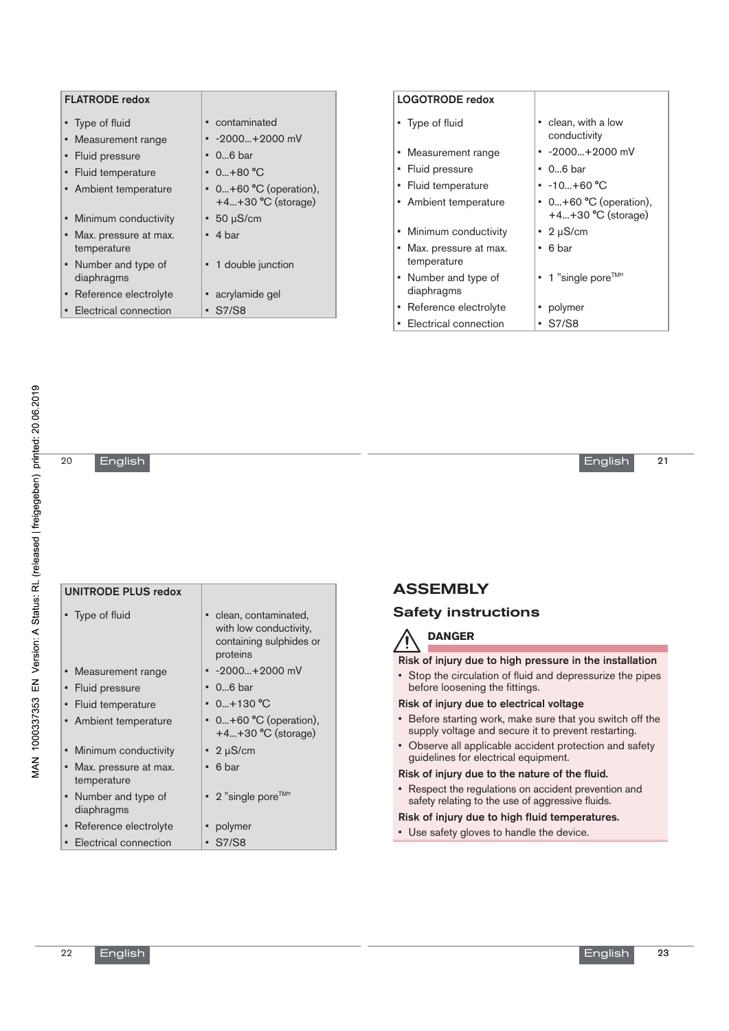| <b>FLATRODE</b> redox                   |                                   | <b>LOGOTRODE</b> redox                |                                         |
|-----------------------------------------|-----------------------------------|---------------------------------------|-----------------------------------------|
| • Type of fluid                         | • contaminated                    | • Type of fluid                       | • clean, with a low<br>conductivity     |
| • Measurement range<br>• Fluid pressure | $-2000+2000$ mV<br>$\cdot$ 06 bar | • Measurement range                   | $-2000+2000$ mV                         |
| • Fluid temperature                     | $0.0 + 80^{\circ}$ C              | • Fluid pressure                      | $\cdot$ 06 bar                          |
| • Ambient temperature                   | $\bullet$ 0+60 °C (operation),    | • Fluid temperature                   | $-10+60 °C$                             |
|                                         | $+4+30$ °C (storage)              | Ambient temperature<br>$\mathbf{u}$ . | $\bullet$ 0+60 °C (operation),          |
| • Minimum conductivity                  | $-50 \mu S/cm$                    |                                       | $+4+30$ °C (storage)                    |
| • Max. pressure at max.                 | $-4 bar$                          | • Minimum conductivity                | $\cdot$ 2 µS/cm                         |
| temperature                             |                                   | • Max. pressure at max.               | $-6bar$                                 |
| • Number and type of                    | • 1 double junction               | temperature                           |                                         |
| diaphragms                              |                                   | • Number and type of                  | $\bullet$ 1 "single pore <sup>TM"</sup> |
| • Reference electrolyte                 | • acrylamide gel                  | diaphragms                            |                                         |
| • Electrical connection                 | $\cdot$ S7/S8                     | • Reference electrolyte               | • polymer                               |
|                                         |                                   | Electrical connection<br>٠            | $\cdot$ S7/S8                           |

20

# English

| <b>UNITRODE PLUS redox</b>                |                                                                                         |
|-------------------------------------------|-----------------------------------------------------------------------------------------|
| • Type of fluid                           | • clean, contaminated,<br>with low conductivity,<br>containing sulphides or<br>proteins |
| Measurement range<br>٠                    | $-2000+2000$ mV                                                                         |
| Fluid pressure<br>٠                       | $\cdot$ 06 bar                                                                          |
| Fluid temperature<br>٠                    | $\cdot$ 0+130 °C                                                                        |
| • Ambient temperature                     | $\bullet$ 0+60 °C (operation),<br>$+4+30$ °C (storage)                                  |
| Minimum conductivity<br>٠                 | $\cdot$ 2 µS/cm                                                                         |
| Max. pressure at max.<br>٠<br>temperature | 6 bar<br>$\blacksquare$                                                                 |
| • Number and type of<br>diaphragms        | $\bullet$ 2 "single pore <sup>TM"</sup>                                                 |
| Reference electrolyte<br>٠                | polymer<br>Ξ                                                                            |
| • Electrical connection                   | S7/S8<br>٠                                                                              |

# **ASSEMBLY**

# Safety instructions



Risk of injury due to high pressure in the installation

• Stop the circulation of fluid and depressurize the pipes before loosening the fittings.

### Risk of injury due to electrical voltage

- Before starting work, make sure that you switch off the supply voltage and secure it to prevent restarting.
- Observe all applicable accident protection and safety guidelines for electrical equipment.

#### Risk of injury due to the nature of the fluid.

• Respect the regulations on accident prevention and safety relating to the use of aggressive fluids.

### Risk of injury due to high fluid temperatures.

• Use safety gloves to handle the device.

21

**English**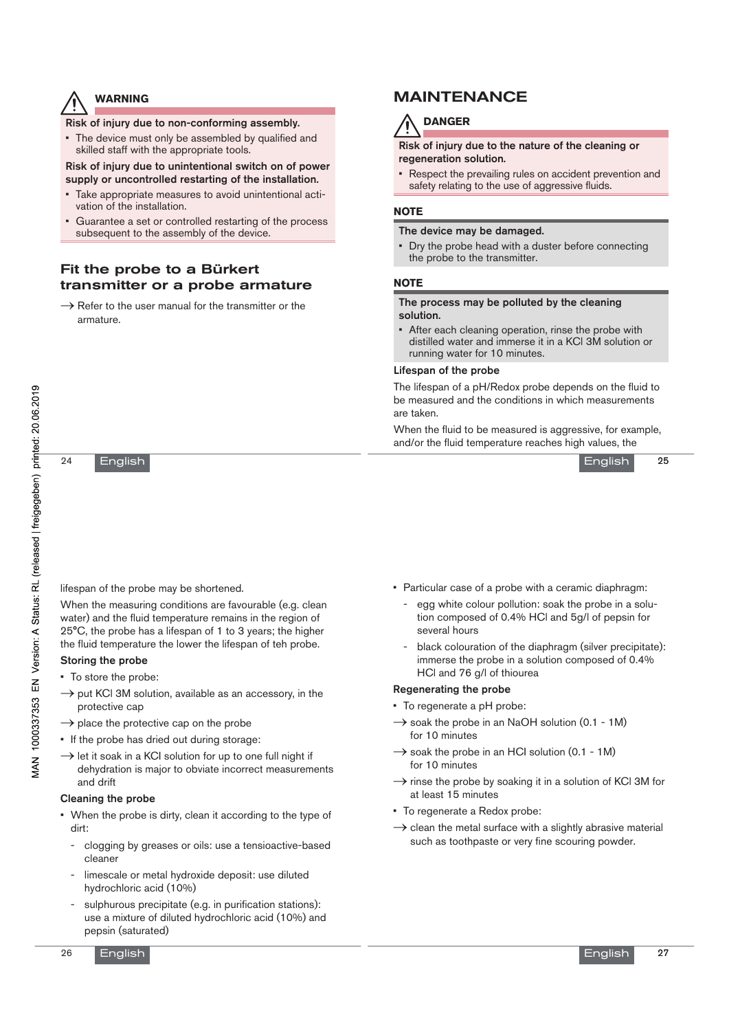# **warning**

Risk of injury due to non-conforming assembly.

• The device must only be assembled by qualified and skilled staff with the appropriate tools.

### Risk of injury due to unintentional switch on of power supply or uncontrolled restarting of the installation.

- Take appropriate measures to avoid unintentional activation of the installation.
- Guarantee a set or controlled restarting of the process subsequent to the assembly of the device.

# Fit the probe to a Bürkert transmitter or a probe armature

 $\rightarrow$  Refer to the user manual for the transmitter or the armature.

# maintenance



Risk of injury due to the nature of the cleaning or regeneration solution.

• Respect the prevailing rules on accident prevention and safety relating to the use of aggressive fluids.

### **NOTE**

### The device may be damaged.

• Dry the probe head with a duster before connecting the probe to the transmitter.

### **NOTE**

#### The process may be polluted by the cleaning solution.

After each cleaning operation, rinse the probe with distilled water and immerse it in a KCl 3M solution or running water for 10 minutes.

### Lifespan of the probe

The lifespan of a pH/Redox probe depends on the fluid to be measured and the conditions in which measurements are taken.

When the fluid to be measured is aggressive, for example, and/or the fluid temperature reaches high values, the



English

24

lifespan of the probe may be shortened.

When the measuring conditions are favourable (e.g. clean water) and the fluid temperature remains in the region of 25°C, the probe has a lifespan of 1 to 3 years; the higher the fluid temperature the lower the lifespan of teh probe.

### Storing the probe

- To store the probe:
- $\rightarrow$  put KCl 3M solution, available as an accessory, in the protective cap
- $\rightarrow$  place the protective cap on the probe
- If the probe has dried out during storage:
- $\rightarrow$  let it soak in a KCI solution for up to one full night if dehydration is major to obviate incorrect measurements and drift

### Cleaning the probe

- When the probe is dirty, clean it according to the type of dirt:
	- clogging by greases or oils: use a tensioactive-based cleaner
	- limescale or metal hydroxide deposit: use diluted hydrochloric acid (10%)
	- sulphurous precipitate (e.g. in purification stations): use a mixture of diluted hydrochloric acid (10%) and pepsin (saturated)
- English
- Particular case of a probe with a ceramic diaphragm:
	- egg white colour pollution: soak the probe in a solution composed of 0.4% HCl and 5g/l of pepsin for several hours
	- black colouration of the diaphragm (silver precipitate): immerse the probe in a solution composed of 0.4% HCl and 76 g/l of thiourea

#### Regenerating the probe

- To regenerate a pH probe:
- $\rightarrow$  soak the probe in an NaOH solution (0.1 1M) for 10 minutes
- $\rightarrow$  soak the probe in an HCI solution (0.1 1M) for 10 minutes
- $\rightarrow$  rinse the probe by soaking it in a solution of KCl 3M for at least 15 minutes
- To regenerate a Redox probe:
- $\rightarrow$  clean the metal surface with a slightly abrasive material such as toothpaste or very fine scouring powder.

27